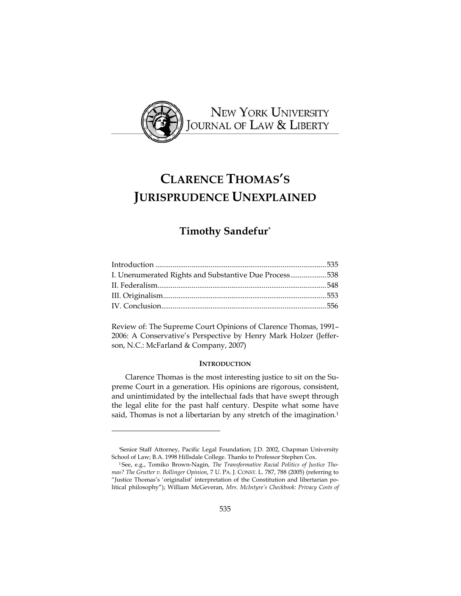

# **CLARENCE THOMAS'S JURISPRUDENCE UNEXPLAINED**

# **Timothy Sandefur**\*

| I. Unenumerated Rights and Substantive Due Process538 |
|-------------------------------------------------------|
|                                                       |
|                                                       |
|                                                       |
|                                                       |

Review of: The Supreme Court Opinions of Clarence Thomas, 1991– 2006: A Conservative's Perspective by Henry Mark Holzer (Jefferson, N.C.: McFarland & Company, 2007)

## **INTRODUCTION**

Clarence Thomas is the most interesting justice to sit on the Supreme Court in a generation. His opinions are rigorous, consistent, and unintimidated by the intellectual fads that have swept through the legal elite for the past half century. Despite what some have said, Thomas is not a libertarian by any stretch of the imagination.<sup>1</sup>

<sup>\*</sup> Senior Staff Attorney, Pacific Legal Foundation; J.D. 2002, Chapman University School of Law; B.A. 1998 Hillsdale College. Thanks to Professor Stephen Cox.

<sup>1</sup> See, e.g., Tomiko Brown-Nagin, *The Transformative Racial Politics of Justice Thomas? The Grutter v. Bollinger Opinion*, 7 U. PA. J. CONST. L. 787, 788 (2005) (referring to "Justice Thomas's 'originalist' interpretation of the Constitution and libertarian political philosophy"); William McGeveran, *Mrs. McIntyre's Checkbook: Privacy Costs of*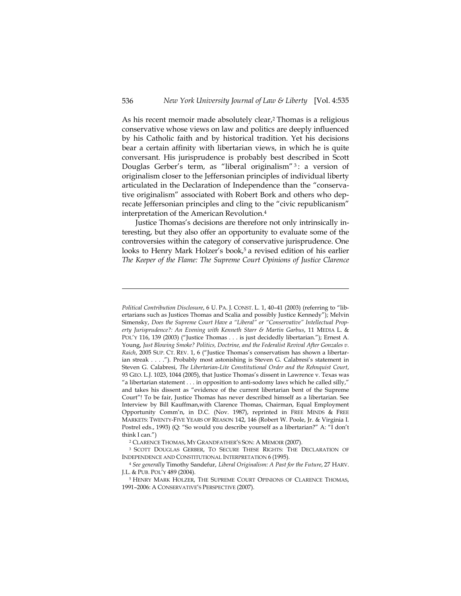As his recent memoir made absolutely clear,<sup>2</sup> Thomas is a religious conservative whose views on law and politics are deeply influenced by his Catholic faith and by historical tradition. Yet his decisions bear a certain affinity with libertarian views, in which he is quite conversant. His jurisprudence is probably best described in Scott Douglas Gerber's term, as "liberal originalism"<sup>3</sup>: a version of originalism closer to the Jeffersonian principles of individual liberty articulated in the Declaration of Independence than the "conservative originalism" associated with Robert Bork and others who deprecate Jeffersonian principles and cling to the "civic republicanism" interpretation of the American Revolution.4

Justice Thomas's decisions are therefore not only intrinsically interesting, but they also offer an opportunity to evaluate some of the controversies within the category of conservative jurisprudence. One looks to Henry Mark Holzer's book,<sup>5</sup> a revised edition of his earlier *The Keeper of the Flame: The Supreme Court Opinions of Justice Clarence* 

*Political Contribution Disclosure*, 6 U. PA. J. CONST. L. 1, 40–41 (2003) (referring to "libertarians such as Justices Thomas and Scalia and possibly Justice Kennedy"); Melvin Simensky, *Does the Supreme Court Have a "Liberal" or "Conservative" Intellectual Property Jurisprudence?: An Evening with Kenneth Starr & Martin Garbus*, 11 MEDIA L. & POL'Y 116, 139 (2003) ("Justice Thomas . . . is just decidedly libertarian."); Ernest A. Young, *Just Blowing Smoke? Politics, Doctrine, and the Federalist Revival After Gonzales v. Raich*, 2005 SUP. CT. REV. 1, 6 ("Justice Thomas's conservatism has shown a libertarian streak . . . ."). Probably most astonishing is Steven G. Calabresi's statement in Steven G. Calabresi, *The Libertarian-Lite Constitutional Order and the Rehnquist Court*, 93 GEO. L.J. 1023, 1044 (2005), that Justice Thomas's dissent in Lawrence v. Texas was "a libertarian statement . . . in opposition to anti-sodomy laws which he called silly," and takes his dissent as "evidence of the current libertarian bent of the Supreme Court"! To be fair, Justice Thomas has never described himself as a libertarian. See Interview by Bill Kauffman,with Clarence Thomas, Chairman, Equal Employment Opportunity Comm'n, in D.C. (Nov. 1987), reprinted in FREE MINDS & FREE MARKETS: TWENTY-FIVE YEARS OF REASON 142, 146 (Robert W. Poole, Jr. & Virginia I. Postrel eds., 1993) (Q: "So would you describe yourself as a libertarian?" A: "I don't think I can.")

<sup>&</sup>lt;sup>2</sup> CLARENCE THOMAS, MY GRANDFATHER'S SON: A MEMOIR (2007).<br><sup>3</sup> SCOTT DOUGLAS GERBER, TO SECURE THESE RIGHTS: THE DECLARATION OF INDEPENDENCE AND CONSTITUTIONAL INTERPRETATION 6 (1995). 4 *See generally* Timothy Sandefur, *Liberal Originalism: A Past for the Future*, 27 HARV.

J.L. & PUB. POL'Y 489 (2004).<br><sup>5</sup> Henry Mark Holzer, The Supreme Court Opinions of Clarence Thomas, 1991–2006: A CONSERVATIVE'S PERSPECTIVE (2007).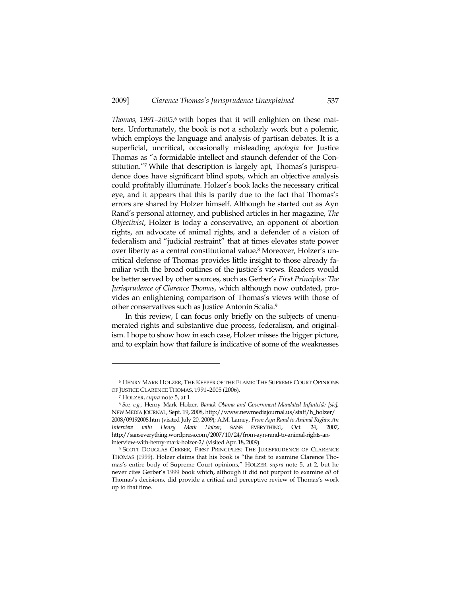*Thomas, 1991–2005,*6 with hopes that it will enlighten on these matters. Unfortunately, the book is not a scholarly work but a polemic, which employs the language and analysis of partisan debates. It is a superficial, uncritical, occasionally misleading *apologia* for Justice Thomas as "a formidable intellect and staunch defender of the Constitution."7 While that description is largely apt, Thomas's jurisprudence does have significant blind spots, which an objective analysis could profitably illuminate. Holzer's book lacks the necessary critical eye, and it appears that this is partly due to the fact that Thomas's errors are shared by Holzer himself. Although he started out as Ayn Rand's personal attorney, and published articles in her magazine, *The Objectivist*, Holzer is today a conservative, an opponent of abortion rights, an advocate of animal rights, and a defender of a vision of federalism and "judicial restraint" that at times elevates state power over liberty as a central constitutional value.8 Moreover, Holzer's uncritical defense of Thomas provides little insight to those already familiar with the broad outlines of the justice's views. Readers would be better served by other sources, such as Gerber's *First Principles: The Jurisprudence of Clarence Thomas*, which although now outdated, provides an enlightening comparison of Thomas's views with those of other conservatives such as Justice Antonin Scalia.9

In this review, I can focus only briefly on the subjects of unenumerated rights and substantive due process, federalism, and originalism. I hope to show how in each case, Holzer misses the bigger picture, and to explain how that failure is indicative of some of the weaknesses

<sup>6</sup> HENRY MARK HOLZER, THE KEEPER OF THE FLAME: THE SUPREME COURT OPINIONS OF JUSTICE CLARENCE THOMAS, 1991–2005 (2006).

<sup>7</sup> HOLZER, *supra* note 5, at 1. 8 *See, e.g.,* Henry Mark Holzer, *Barack Obama and Government-Mandated Infantcide [sic],*  NEW MEDIA JOURNAL, Sept. 19, 2008, http://www.newmediajournal.us/staff/h\_holzer/ 2008/09192008.htm (visited July 20, 2009); A.M. Lamey, *From Ayn Rand to Animal Rights: An Interview with Henry Mark Holzer*, SANS EVERYTHING, Oct. 24, 2007, http://sanseverything.wordpress.com/2007/10/24/from-ayn-rand-to-animal-rights-aninterview-with-henry-mark-holzer-2/ (visited Apr. 18, 2009).

<sup>9</sup> SCOTT DOUGLAS GERBER, FIRST PRINCIPLES: THE JURISPRUDENCE OF CLARENCE THOMAS (1999). Holzer claims that his book is "the first to examine Clarence Thomas's entire body of Supreme Court opinions," HOLZER, *supra* note 5, at 2, but he never cites Gerber's 1999 book which, although it did not purport to examine *all* of Thomas's decisions, did provide a critical and perceptive review of Thomas's work up to that time.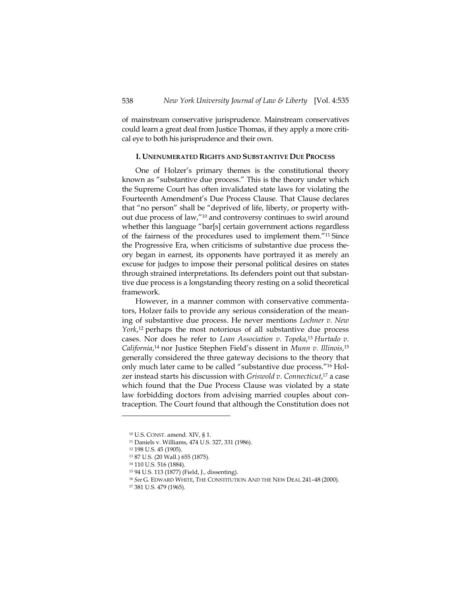of mainstream conservative jurisprudence. Mainstream conservatives could learn a great deal from Justice Thomas, if they apply a more critical eye to both his jurisprudence and their own.

## **I. UNENUMERATED RIGHTS AND SUBSTANTIVE DUE PROCESS**

One of Holzer's primary themes is the constitutional theory known as "substantive due process." This is the theory under which the Supreme Court has often invalidated state laws for violating the Fourteenth Amendment's Due Process Clause. That Clause declares that "no person" shall be "deprived of life, liberty, or property without due process of law,"10 and controversy continues to swirl around whether this language "bar[s] certain government actions regardless of the fairness of the procedures used to implement them."11 Since the Progressive Era, when criticisms of substantive due process theory began in earnest, its opponents have portrayed it as merely an excuse for judges to impose their personal political desires on states through strained interpretations. Its defenders point out that substantive due process is a longstanding theory resting on a solid theoretical framework.

However, in a manner common with conservative commentators, Holzer fails to provide any serious consideration of the meaning of substantive due process. He never mentions *Lochner v. New York*,<sup>12</sup> perhaps the most notorious of all substantive due process cases. Nor does he refer to *Loan Association v. Topeka*, <sup>13</sup> *Hurtado v. California*,14 nor Justice Stephen Field's dissent in *Munn v. Illinois*, 15 generally considered the three gateway decisions to the theory that only much later came to be called "substantive due process."16 Holzer instead starts his discussion with *Griswold v. Connecticut*, 17 a case which found that the Due Process Clause was violated by a state law forbidding doctors from advising married couples about contraception. The Court found that although the Constitution does not

<sup>10</sup> U.S. CONST. amend. XIV, § 1.

<sup>11</sup> Daniels v. Williams, 474 U.S. 327, 331 (1986).

<sup>12 198</sup> U.S. 45 (1905).

<sup>13 87</sup> U.S. (20 Wall.) 655 (1875).

<sup>14 110</sup> U.S. 516 (1884).

<sup>15 94</sup> U.S. 113 (1877) (Field, J., dissenting).

<sup>16</sup> *See* G. EDWARD WHITE, THE CONSTITUTION AND THE NEW DEAL 241–48 (2000).

<sup>17 381</sup> U.S. 479 (1965).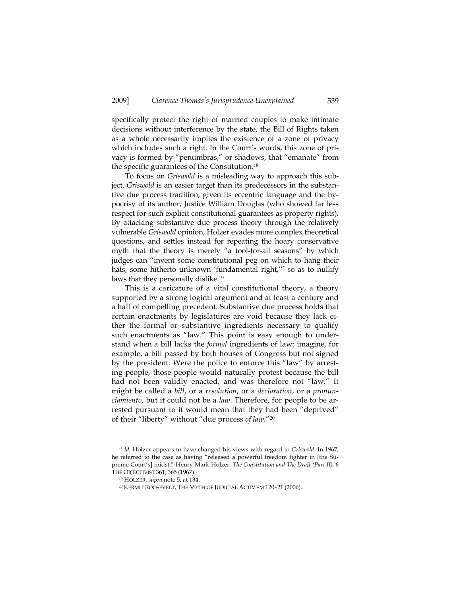specifically protect the right of married couples to make intimate decisions without interference by the state, the Bill of Rights taken as a whole necessarily implies the existence of a zone of privacy which includes such a right. In the Court's words, this zone of privacy is formed by "penumbras," or shadows, that "emanate" from the specific guarantees of the Constitution.18

To focus on *Griswold* is a misleading way to approach this subject. *Griswold* is an easier target than its predecessors in the substantive due process tradition, given its eccentric language and the hypocrisy of its author, Justice William Douglas (who showed far less respect for such explicit constitutional guarantees as property rights). By attacking substantive due process theory through the relatively vulnerable *Griswold* opinion, Holzer evades more complex theoretical questions, and settles instead for repeating the hoary conservative myth that the theory is merely "a tool-for-all seasons" by which judges can "invent some constitutional peg on which to hang their hats, some hitherto unknown 'fundamental right,'" so as to nullify laws that they personally dislike.19

This is a caricature of a vital constitutional theory, a theory supported by a strong logical argument and at least a century and a half of compelling precedent. Substantive due process holds that certain enactments by legislatures are void because they lack either the formal or substantive ingredients necessary to qualify such enactments as "law." This point is easy enough to understand when a bill lacks the *formal* ingredients of law: imagine, for example, a bill passed by both houses of Congress but not signed by the president. Were the police to enforce this "law" by arresting people, those people would naturally protest because the bill had not been validly enacted, and was therefore not "law." It might be called a *bill*, or a *resolution*, or a *declaration*, or a *pronunciamiento*, but it could not be a *law*. Therefore, for people to be arrested pursuant to it would mean that they had been "deprived" of their "liberty" without "due process *of law.*"20

<sup>18</sup> *Id.* Holzer appears to have changed his views with regard to *Griswold*. In 1967, he referred to the case as having "released a powerful freedom fighter in [the Supreme Court's] midst." Henry Mark Holzer, *The Constitution and The Draft (Part II)*, 6 THE OBJECTIVIST 361, <sup>365</sup> (1967). 19 HOLZER, *supra* note 5, at 134.

<sup>20</sup> KERMIT ROOSEVELT, THE MYTH OF JUDICIAL ACTIVISM 120–21 (2006).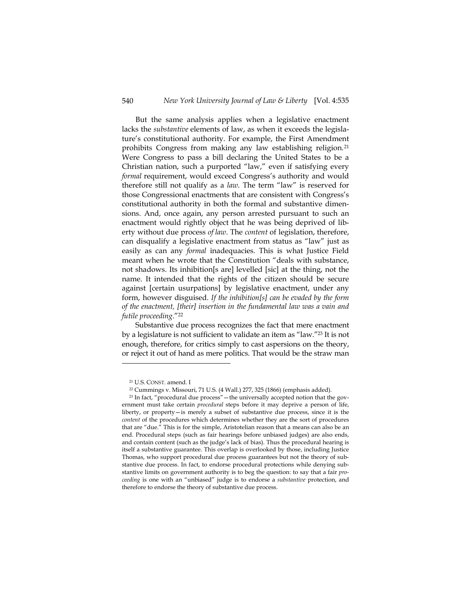But the same analysis applies when a legislative enactment lacks the *substantive* elements of law, as when it exceeds the legislature's constitutional authority. For example, the First Amendment prohibits Congress from making any law establishing religion.21 Were Congress to pass a bill declaring the United States to be a Christian nation, such a purported "law," even if satisfying every *formal* requirement, would exceed Congress's authority and would therefore still not qualify as a *law*. The term "law" is reserved for those Congressional enactments that are consistent with Congress's constitutional authority in both the formal and substantive dimensions. And, once again, any person arrested pursuant to such an enactment would rightly object that he was being deprived of liberty without due process *of law*. The *content* of legislation, therefore, can disqualify a legislative enactment from status as "law" just as easily as can any *formal* inadequacies. This is what Justice Field meant when he wrote that the Constitution "deals with substance, not shadows. Its inhibition[s are] levelled [sic] at the thing, not the name. It intended that the rights of the citizen should be secure against [certain usurpations] by legislative enactment, under any form, however disguised. *If the inhibition[s] can be evaded by the form of the enactment, [their] insertion in the fundamental law was a vain and futile proceeding*."22

Substantive due process recognizes the fact that mere enactment by a legislature is not sufficient to validate an item as "law."23 It is not enough, therefore, for critics simply to cast aspersions on the theory, or reject it out of hand as mere politics. That would be the straw man

<sup>&</sup>lt;sup>21</sup> U.S. CONST. amend. I<br><sup>22</sup> Cummings v. Missouri, 71 U.S. (4 Wall.) 277, 325 (1866) (emphasis added).

<sup>&</sup>lt;sup>23</sup> In fact, "procedural due process" — the universally accepted notion that the government must take certain *procedural* steps before it may deprive a person of life, liberty, or property—is merely a subset of substantive due process, since it is the *content* of the procedures which determines whether they are the sort of procedures that are "due." This is for the simple, Aristotelian reason that a means can also be an end. Procedural steps (such as fair hearings before unbiased judges) are also ends, and contain content (such as the judge's lack of bias). Thus the procedural hearing is itself a substantive guarantee. This overlap is overlooked by those, including Justice Thomas, who support procedural due process guarantees but not the theory of substantive due process. In fact, to endorse procedural protections while denying substantive limits on government authority is to beg the question: to say that a fair *proceeding* is one with an "unbiased" judge is to endorse a *substantive* protection, and therefore to endorse the theory of substantive due process.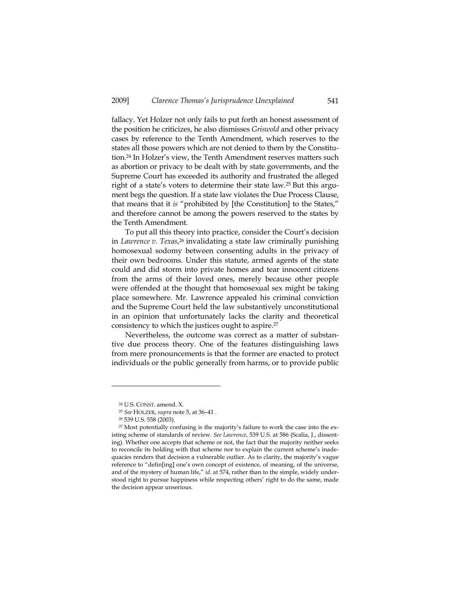fallacy. Yet Holzer not only fails to put forth an honest assessment of the position he criticizes, he also dismisses *Griswold* and other privacy cases by reference to the Tenth Amendment, which reserves to the states all those powers which are not denied to them by the Constitution.24 In Holzer's view, the Tenth Amendment reserves matters such as abortion or privacy to be dealt with by state governments, and the Supreme Court has exceeded its authority and frustrated the alleged right of a state's voters to determine their state law.25 But this argument begs the question. If a state law violates the Due Process Clause, that means that it *is* "prohibited by [the Constitution] to the States," and therefore cannot be among the powers reserved to the states by the Tenth Amendment.

To put all this theory into practice, consider the Court's decision in *Lawrence v. Texas*,<sup>26</sup> invalidating a state law criminally punishing homosexual sodomy between consenting adults in the privacy of their own bedrooms. Under this statute, armed agents of the state could and did storm into private homes and tear innocent citizens from the arms of their loved ones, merely because other people were offended at the thought that homosexual sex might be taking place somewhere. Mr. Lawrence appealed his criminal conviction and the Supreme Court held the law substantively unconstitutional in an opinion that unfortunately lacks the clarity and theoretical consistency to which the justices ought to aspire.27

Nevertheless, the outcome was correct as a matter of substantive due process theory. One of the features distinguishing laws from mere pronouncements is that the former are enacted to protect individuals or the public generally from harms, or to provide public

<sup>24</sup> U.S. CONST. amend. X.

<sup>25</sup> *See* HOLZER, *supra* note 5, at 36–41 . 26 539 U.S. 558 (2003).

<sup>27</sup> Most potentially confusing is the majority's failure to work the case into the existing scheme of standards of review. *See Lawrence*, 539 U.S. at 586 (Scalia, J., dissenting). Whether one accepts that scheme or not, the fact that the majority neither seeks to reconcile its holding with that scheme nor to explain the current scheme's inadequacies renders that decision a vulnerable outlier. As to clarity, the majority's vague reference to "defin[ing] one's own concept of existence, of meaning, of the universe, and of the mystery of human life," id. at 574, rather than to the simple, widely understood right to pursue happiness while respecting others' right to do the same, made the decision appear unserious.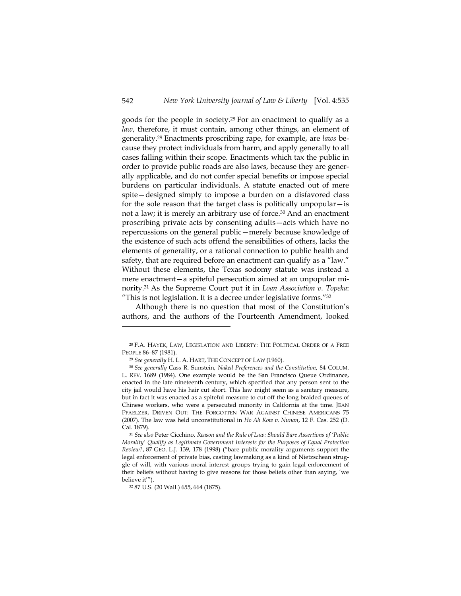goods for the people in society.28 For an enactment to qualify as a *law*, therefore, it must contain, among other things, an element of generality.29 Enactments proscribing rape, for example, are *laws* because they protect individuals from harm, and apply generally to all cases falling within their scope. Enactments which tax the public in order to provide public roads are also laws, because they are generally applicable, and do not confer special benefits or impose special burdens on particular individuals. A statute enacted out of mere spite—designed simply to impose a burden on a disfavored class for the sole reason that the target class is politically unpopular—is not a law; it is merely an arbitrary use of force.<sup>30</sup> And an enactment proscribing private acts by consenting adults—acts which have no repercussions on the general public—merely because knowledge of the existence of such acts offend the sensibilities of others, lacks the elements of generality, or a rational connection to public health and safety, that are required before an enactment can qualify as a "law." Without these elements, the Texas sodomy statute was instead a mere enactment—a spiteful persecution aimed at an unpopular minority.31 As the Supreme Court put it in *Loan Association v. Topeka*: "This is not legislation. It is a decree under legislative forms."32

Although there is no question that most of the Constitution's authors, and the authors of the Fourteenth Amendment, looked

 $^{28}$  F.A. HAYEK, LAW, LEGISLATION AND LIBERTY: THE POLITICAL ORDER OF A FREE PEOPLE  $86\text{--}87$  (1981).

<sup>&</sup>lt;sup>29</sup> See generally H. L. A. HART, THE CONCEPT OF LAW (1960).

<sup>30</sup> *See generally* Cass R. Sunstein, *Naked Preferences and the Constitution*, 84 COLUM. L. REV. 1689 (1984). One example would be the San Francisco Queue Ordinance, enacted in the late nineteenth century, which specified that any person sent to the city jail would have his hair cut short. This law might seem as a sanitary measure, but in fact it was enacted as a spiteful measure to cut off the long braided queues of Chinese workers, who were a persecuted minority in California at the time. JEAN PFAELZER, DRIVEN OUT: THE FORGOTTEN WAR AGAINST CHINESE AMERICANS 75 (2007). The law was held unconstitutional in *Ho Ah Kow v. Nunan*, 12 F. Cas. 252 (D. Cal. 1879).

<sup>31</sup> *See also* Peter Cicchino, *Reason and the Rule of Law: Should Bare Assertions of 'Public Morality' Qualify as Legitimate Government Interests for the Purposes of Equal Protection Review?*, 87 GEO. L.J. 139, 178 (1998) ("bare public morality arguments support the legal enforcement of private bias, casting lawmaking as a kind of Nietzschean struggle of will, with various moral interest groups trying to gain legal enforcement of their beliefs without having to give reasons for those beliefs other than saying, 'we believe it'").

<sup>32 87</sup> U.S. (20 Wall.) 655, 664 (1875).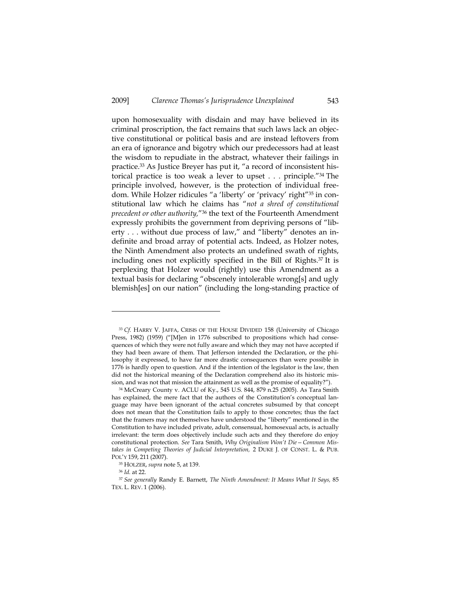upon homosexuality with disdain and may have believed in its criminal proscription, the fact remains that such laws lack an objective constitutional or political basis and are instead leftovers from an era of ignorance and bigotry which our predecessors had at least the wisdom to repudiate in the abstract, whatever their failings in practice.33 As Justice Breyer has put it, "a record of inconsistent historical practice is too weak a lever to upset . . . principle."34 The principle involved, however, is the protection of individual freedom. While Holzer ridicules "a 'liberty' or 'privacy' right"35 in constitutional law which he claims has "*not a shred of constitutional precedent or other authority,*"36 the text of the Fourteenth Amendment expressly prohibits the government from depriving persons of "liberty . . . without due process of law," and "liberty" denotes an indefinite and broad array of potential acts. Indeed, as Holzer notes, the Ninth Amendment also protects an undefined swath of rights, including ones not explicitly specified in the Bill of Rights.37 It is perplexing that Holzer would (rightly) use this Amendment as a textual basis for declaring "obscenely intolerable wrong[s] and ugly blemish[es] on our nation" (including the long-standing practice of

<sup>33</sup> *Cf.* HARRY V. JAFFA, CRISIS OF THE HOUSE DIVIDED 158 (University of Chicago Press, 1982) (1959) ("[M]en in 1776 subscribed to propositions which had consequences of which they were not fully aware and which they may not have accepted if they had been aware of them. That Jefferson intended the Declaration, or the philosophy it expressed, to have far more drastic consequences than were possible in 1776 is hardly open to question. And if the intention of the legislator is the law, then did not the historical meaning of the Declaration comprehend also its historic mission, and was not that mission the attainment as well as the promise of equality?").

<sup>34</sup> McCreary County v. ACLU of Ky., 545 U.S. 844, 879 n.25 (2005). As Tara Smith has explained, the mere fact that the authors of the Constitution's conceptual language may have been ignorant of the actual concretes subsumed by that concept does not mean that the Constitution fails to apply to those concretes; thus the fact that the framers may not themselves have understood the "liberty" mentioned in the Constitution to have included private, adult, consensual, homosexual acts, is actually irrelevant: the term does objectively include such acts and they therefore do enjoy constitutional protection. *See* Tara Smith, *Why Originalism Won't Die—Common Mistakes in Competing Theories of Judicial Interpretation,* 2 DUKE J. OF CONST. L. & PUB. POL'Y 159, <sup>211</sup> (2007). 35 HOLZER, *supra* note 5, at 139.

<sup>&</sup>lt;sup>36</sup> *Id.* at 22.<br><sup>37</sup> See generally Randy E. Barnett, *The Ninth Amendment: It Means What It Says,* 85 TEX. L. REV. 1 (2006).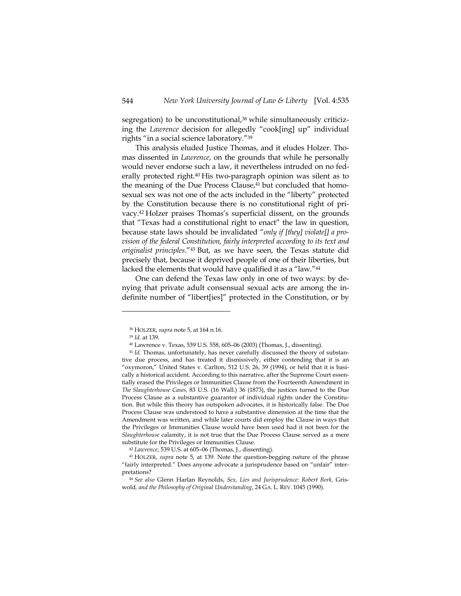segregation) to be unconstitutional,<sup>38</sup> while simultaneously criticizing the *Lawrence* decision for allegedly "cook[ing] up" individual rights "in a social science laboratory."39

This analysis eluded Justice Thomas, and it eludes Holzer. Thomas dissented in *Lawrence*, on the grounds that while he personally would never endorse such a law, it nevertheless intruded on no federally protected right.40 His two-paragraph opinion was silent as to the meaning of the Due Process Clause,<sup>41</sup> but concluded that homosexual sex was not one of the acts included in the "liberty" protected by the Constitution because there is no constitutional right of privacy.42 Holzer praises Thomas's superficial dissent, on the grounds that "Texas had a constitutional right to enact" the law in question, because state laws should be invalidated "*only if [they] violate[] a provision of the federal Constitution, fairly interpreted according to its text and originalist principles*."43 But, as we have seen, the Texas statute did precisely that, because it deprived people of one of their liberties, but lacked the elements that would have qualified it as a "law."44

One can defend the Texas law only in one of two ways: by denying that private adult consensual sexual acts are among the indefinite number of "libert[ies]" protected in the Constitution, or by

<sup>38</sup> HOLZER, *supra* note 5, at 164 n.16. 39 *Id.* at 139.

<sup>40</sup> Lawrence v. Texas, 539 U.S. 558, 605–06 (2003) (Thomas, J., dissenting).

<sup>41</sup> *Id.* Thomas, unfortunately, has never carefully discussed the theory of substantive due process, and has treated it dismissively, either contending that it is an "oxymoron," United States v. Carlton, 512 U.S. 26, 39 (1994), or held that it is basically a historical accident. According to this narrative, after the Supreme Court essentially erased the Privileges or Immunities Clause from the Fourteenth Amendment in *The Slaughterhouse Cases,* 83 U.S. (16 Wall.) 36 (1873), the justices turned to the Due Process Clause as a substantive guarantor of individual rights under the Constitution. But while this theory has outspoken advocates, it is historically false. The Due Process Clause was understood to have a substantive dimension at the time that the Amendment was written, and while later courts did employ the Clause in ways that the Privileges or Immunities Clause would have been used had it not been for the *Slaughterhouse* calamity, it is not true that the Due Process Clause served as a mere substitute for the Privileges or Immunities Clause.

<sup>42</sup> *Lawrence*, 539 U.S. at 605–06 (Thomas, J., dissenting). 43 HOLZER, *supra* note 5, at 139. Note the question-begging nature of the phrase "fairly interpreted." Does anyone advocate a jurisprudence based on "unfair" inter-

pretations? 44 *See also* Glenn Harlan Reynolds, *Sex, Lies and Jurisprudence: Robert Bork,* Griswold*, and the Philosophy of Original Understanding*, 24 GA. L. REV. 1045 (1990).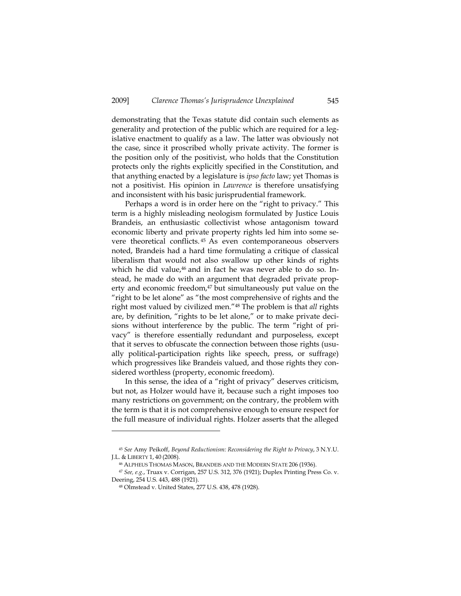demonstrating that the Texas statute did contain such elements as generality and protection of the public which are required for a legislative enactment to qualify as a law. The latter was obviously not the case, since it proscribed wholly private activity. The former is the position only of the positivist, who holds that the Constitution protects only the rights explicitly specified in the Constitution, and that anything enacted by a legislature is *ipso facto* law; yet Thomas is not a positivist. His opinion in *Lawrence* is therefore unsatisfying and inconsistent with his basic jurisprudential framework.

Perhaps a word is in order here on the "right to privacy." This term is a highly misleading neologism formulated by Justice Louis Brandeis, an enthusiastic collectivist whose antagonism toward economic liberty and private property rights led him into some severe theoretical conflicts. 45 As even contemporaneous observers noted, Brandeis had a hard time formulating a critique of classical liberalism that would not also swallow up other kinds of rights which he did value, $46$  and in fact he was never able to do so. Instead, he made do with an argument that degraded private property and economic freedom,<sup>47</sup> but simultaneously put value on the "right to be let alone" as "the most comprehensive of rights and the right most valued by civilized men."48 The problem is that *all* rights are, by definition, "rights to be let alone," or to make private decisions without interference by the public. The term "right of privacy" is therefore essentially redundant and purposeless, except that it serves to obfuscate the connection between those rights (usually political-participation rights like speech, press, or suffrage) which progressives like Brandeis valued, and those rights they considered worthless (property, economic freedom).

In this sense, the idea of a "right of privacy" deserves criticism, but not, as Holzer would have it, because such a right imposes too many restrictions on government; on the contrary, the problem with the term is that it is not comprehensive enough to ensure respect for the full measure of individual rights. Holzer asserts that the alleged

<sup>45</sup> *See* Amy Peikoff, *Beyond Reductionism: Reconsidering the Right to Privacy*, 3 N.Y.U. J.L. & LIBERTY 1, <sup>40</sup> (2008). 46 ALPHEUS THOMAS MASON, BRANDEIS AND THE MODERN STATE 206 (1936).

<sup>47</sup> *See, e.g.*, Truax v. Corrigan, 257 U.S. 312, 376 (1921); Duplex Printing Press Co. v. Deering, 254 U.S. 443, 488 (1921).

<sup>48</sup> Olmstead v. United States, 277 U.S. 438, 478 (1928).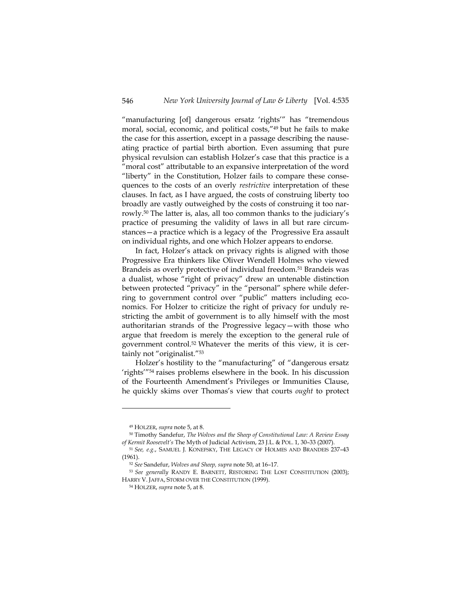"manufacturing [of] dangerous ersatz 'rights'" has "tremendous moral, social, economic, and political costs,"49 but he fails to make the case for this assertion, except in a passage describing the nauseating practice of partial birth abortion. Even assuming that pure physical revulsion can establish Holzer's case that this practice is a "moral cost" attributable to an expansive interpretation of the word "liberty" in the Constitution, Holzer fails to compare these consequences to the costs of an overly *restrictive* interpretation of these clauses. In fact, as I have argued, the costs of construing liberty too broadly are vastly outweighed by the costs of construing it too narrowly.50 The latter is, alas, all too common thanks to the judiciary's practice of presuming the validity of laws in all but rare circumstances—a practice which is a legacy of the Progressive Era assault on individual rights, and one which Holzer appears to endorse.

In fact, Holzer's attack on privacy rights is aligned with those Progressive Era thinkers like Oliver Wendell Holmes who viewed Brandeis as overly protective of individual freedom.<sup>51</sup> Brandeis was a dualist, whose "right of privacy" drew an untenable distinction between protected "privacy" in the "personal" sphere while deferring to government control over "public" matters including economics. For Holzer to criticize the right of privacy for unduly restricting the ambit of government is to ally himself with the most authoritarian strands of the Progressive legacy—with those who argue that freedom is merely the exception to the general rule of government control.52 Whatever the merits of this view, it is certainly not "originalist."53

Holzer's hostility to the "manufacturing" of "dangerous ersatz 'rights'"54 raises problems elsewhere in the book. In his discussion of the Fourteenth Amendment's Privileges or Immunities Clause, he quickly skims over Thomas's view that courts *ought* to protect

<sup>&</sup>lt;sup>49</sup> HOLZER, *supra* note 5, at 8.<br><sup>50</sup> Timothy Sandefur, *The Wolves and the Sheep of Constitutional Law: A Review Essay* 

*of Kermit Roosevelt's* The Myth of Judicial Activism, 23 J.L. & POL. 1, 30–33 (2007). 51 *See, e.g.*, SAMUEL J. KONEFSKY, THE LEGACY OF HOLMES AND BRANDEIS 237–43 (1961). 52 *See* Sandefur, *Wolves and Sheep, supra* note 50, at 16–17.

<sup>53</sup> *See generally* RANDY E. BARNETT, RESTORING THE LOST CONSTITUTION (2003); HARRY V. JAFFA, STORM OVER THE CONSTITUTION (1999).

<sup>54</sup> HOLZER, *supra* note 5, at 8.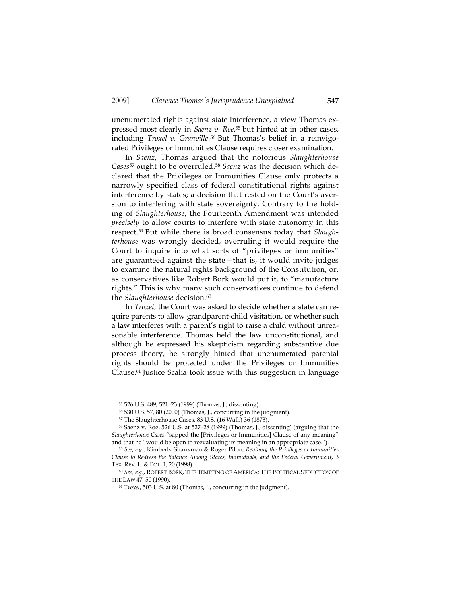unenumerated rights against state interference, a view Thomas expressed most clearly in *Saenz v. Roe*, 55 but hinted at in other cases, including *Troxel v. Granville*.<sup>56</sup> But Thomas's belief in a reinvigorated Privileges or Immunities Clause requires closer examination.

In *Saenz*, Thomas argued that the notorious *Slaughterhouse Cases*57 ought to be overruled.58 *Saenz* was the decision which declared that the Privileges or Immunities Clause only protects a narrowly specified class of federal constitutional rights against interference by states; a decision that rested on the Court's aversion to interfering with state sovereignty. Contrary to the holding of *Slaughterhouse*, the Fourteenth Amendment was intended *precisely* to allow courts to interfere with state autonomy in this respect.59 But while there is broad consensus today that *Slaughterhouse* was wrongly decided, overruling it would require the Court to inquire into what sorts of "privileges or immunities" are guaranteed against the state—that is, it would invite judges to examine the natural rights background of the Constitution, or, as conservatives like Robert Bork would put it, to "manufacture rights." This is why many such conservatives continue to defend the *Slaughterhouse* decision.<sup>60</sup>

In *Troxel*, the Court was asked to decide whether a state can require parents to allow grandparent-child visitation, or whether such a law interferes with a parent's right to raise a child without unreasonable interference. Thomas held the law unconstitutional, and although he expressed his skepticism regarding substantive due process theory, he strongly hinted that unenumerated parental rights should be protected under the Privileges or Immunities Clause.61 Justice Scalia took issue with this suggestion in language

<sup>55 526</sup> U.S. 489, 521–23 (1999) (Thomas, J., dissenting).

<sup>56 530</sup> U.S. 57, 80 (2000) (Thomas, J., concurring in the judgment).

<sup>&</sup>lt;sup>57</sup> The Slaughterhouse Cases, 83 U.S. (16 Wall.) 36 (1873).<br><sup>58</sup> Saenz v. Roe, 526 U.S. at 527–28 (1999) (Thomas, J., dissenting) (arguing that the *Slaughterhouse Cases* "sapped the [Privileges or Immunities] Clause of any meaning" and that he "would be open to reevaluating its meaning in an appropriate case.").

<sup>59</sup> *See, e.g.*, Kimberly Shankman & Roger Pilon, *Reviving the Privileges or Immunities Clause to Redress the Balance Among States, Individuals, and the Federal Government*, 3 TEX. REV. L. & POL. 1, 20 (1998).

<sup>60</sup> *See, e.g.*, ROBERT BORK, THE TEMPTING OF AMERICA: THE POLITICAL SEDUCTION OF THE LAW 47–50 (1990).

<sup>61</sup> *Troxel*, 503 U.S. at 80 (Thomas, J., concurring in the judgment).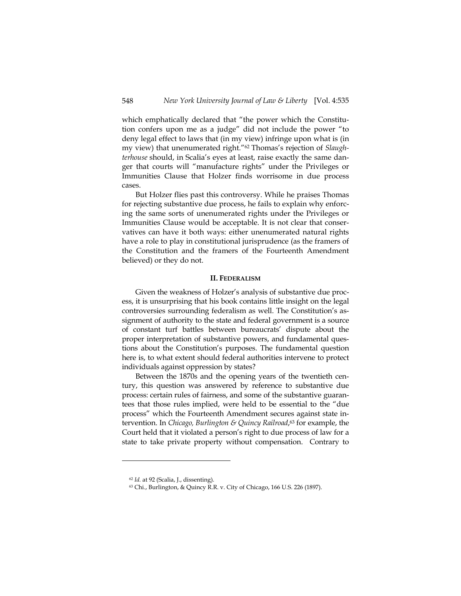which emphatically declared that "the power which the Constitution confers upon me as a judge" did not include the power "to deny legal effect to laws that (in my view) infringe upon what is (in my view) that unenumerated right."62 Thomas's rejection of *Slaughterhouse* should, in Scalia's eyes at least, raise exactly the same danger that courts will "manufacture rights" under the Privileges or Immunities Clause that Holzer finds worrisome in due process cases.

But Holzer flies past this controversy. While he praises Thomas for rejecting substantive due process, he fails to explain why enforcing the same sorts of unenumerated rights under the Privileges or Immunities Clause would be acceptable. It is not clear that conservatives can have it both ways: either unenumerated natural rights have a role to play in constitutional jurisprudence (as the framers of the Constitution and the framers of the Fourteenth Amendment believed) or they do not.

#### **II. FEDERALISM**

Given the weakness of Holzer's analysis of substantive due process, it is unsurprising that his book contains little insight on the legal controversies surrounding federalism as well. The Constitution's assignment of authority to the state and federal government is a source of constant turf battles between bureaucrats' dispute about the proper interpretation of substantive powers, and fundamental questions about the Constitution's purposes. The fundamental question here is, to what extent should federal authorities intervene to protect individuals against oppression by states?

Between the 1870s and the opening years of the twentieth century, this question was answered by reference to substantive due process: certain rules of fairness, and some of the substantive guarantees that those rules implied, were held to be essential to the "due process" which the Fourteenth Amendment secures against state intervention. In *Chicago, Burlington & Quincy Railroad*, 63 for example, the Court held that it violated a person's right to due process of law for a state to take private property without compensation. Contrary to

<sup>62</sup> *Id.* at 92 (Scalia, J., dissenting).

<sup>63</sup> Chi., Burlington, & Quincy R.R. v. City of Chicago, 166 U.S. 226 (1897).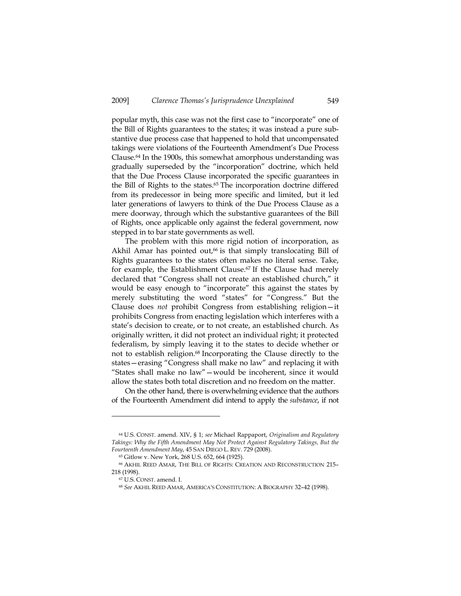popular myth, this case was not the first case to "incorporate" one of the Bill of Rights guarantees to the states; it was instead a pure substantive due process case that happened to hold that uncompensated takings were violations of the Fourteenth Amendment's Due Process Clause.64 In the 1900s, this somewhat amorphous understanding was gradually superseded by the "incorporation" doctrine, which held that the Due Process Clause incorporated the specific guarantees in the Bill of Rights to the states.<sup>65</sup> The incorporation doctrine differed from its predecessor in being more specific and limited, but it led later generations of lawyers to think of the Due Process Clause as a mere doorway, through which the substantive guarantees of the Bill of Rights, once applicable only against the federal government, now stepped in to bar state governments as well.

The problem with this more rigid notion of incorporation, as Akhil Amar has pointed out,<sup>66</sup> is that simply translocating Bill of Rights guarantees to the states often makes no literal sense. Take, for example, the Establishment Clause.<sup>67</sup> If the Clause had merely declared that "Congress shall not create an established church," it would be easy enough to "incorporate" this against the states by merely substituting the word "states" for "Congress." But the Clause does *not* prohibit Congress from establishing religion—it prohibits Congress from enacting legislation which interferes with a state's decision to create, or to not create, an established church. As originally written, it did not protect an individual right; it protected federalism, by simply leaving it to the states to decide whether or not to establish religion.68 Incorporating the Clause directly to the states—erasing "Congress shall make no law" and replacing it with "States shall make no law"—would be incoherent, since it would allow the states both total discretion and no freedom on the matter.

On the other hand, there is overwhelming evidence that the authors of the Fourteenth Amendment did intend to apply the *substance*, if not

<sup>64</sup> U.S. CONST. amend. XIV, § 1; *see* Michael Rappaport, *Originalism and Regulatory Takings: Why the Fifth Amendment May Not Protect Against Regulatory Takings, But the Fourteenth Amendment May*, 45 SAN DIEGO L. REV. 729 (2008). 65 Gitlow v. New York, 268 U.S. 652, 664 (1925).

<sup>66</sup> AKHIL REED AMAR, THE BILL OF RIGHTS: CREATION AND RECONSTRUCTION 215– 218 (1998).<br><sup>67</sup> U.S. CONST. amend. I.

<sup>68</sup> *See* AKHIL REED AMAR, AMERICA'S CONSTITUTION: A BIOGRAPHY 32–42 (1998).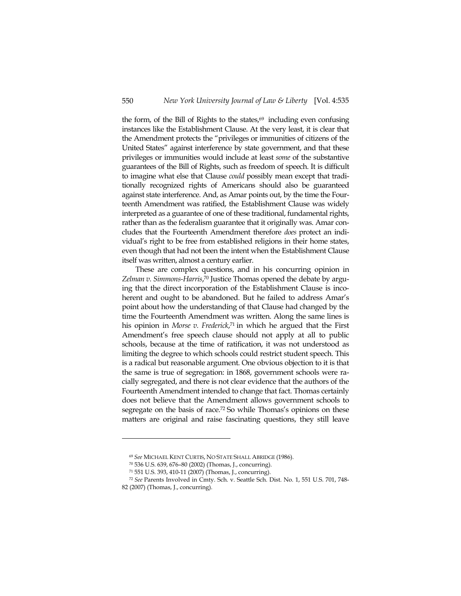the form, of the Bill of Rights to the states,<sup>69</sup> including even confusing instances like the Establishment Clause. At the very least, it is clear that the Amendment protects the "privileges or immunities of citizens of the United States" against interference by state government, and that these privileges or immunities would include at least *some* of the substantive guarantees of the Bill of Rights, such as freedom of speech. It is difficult to imagine what else that Clause *could* possibly mean except that traditionally recognized rights of Americans should also be guaranteed against state interference. And, as Amar points out, by the time the Fourteenth Amendment was ratified, the Establishment Clause was widely interpreted as a guarantee of one of these traditional, fundamental rights, rather than as the federalism guarantee that it originally was. Amar concludes that the Fourteenth Amendment therefore *does* protect an individual's right to be free from established religions in their home states, even though that had not been the intent when the Establishment Clause itself was written, almost a century earlier.

These are complex questions, and in his concurring opinion in *Zelman v. Simmons-Harris*, 70 Justice Thomas opened the debate by arguing that the direct incorporation of the Establishment Clause is incoherent and ought to be abandoned. But he failed to address Amar's point about how the understanding of that Clause had changed by the time the Fourteenth Amendment was written. Along the same lines is his opinion in *Morse v. Frederick*, 71 in which he argued that the First Amendment's free speech clause should not apply at all to public schools, because at the time of ratification, it was not understood as limiting the degree to which schools could restrict student speech. This is a radical but reasonable argument. One obvious objection to it is that the same is true of segregation: in 1868, government schools were racially segregated, and there is not clear evidence that the authors of the Fourteenth Amendment intended to change that fact. Thomas certainly does not believe that the Amendment allows government schools to segregate on the basis of race.<sup>72</sup> So while Thomas's opinions on these matters are original and raise fascinating questions, they still leave

<sup>69</sup> *See* MICHAEL KENT CURTIS, NO STATE SHALL ABRIDGE (1986). 70 536 U.S. 639, 676–80 (2002) (Thomas, J., concurring).

<sup>71 551</sup> U.S. 393, 410-11 (2007) (Thomas, J., concurring).

<sup>72</sup> *See* Parents Involved in Cmty. Sch. v. Seattle Sch. Dist. No. 1, 551 U.S. 701, 748- 82 (2007) (Thomas, J., concurring).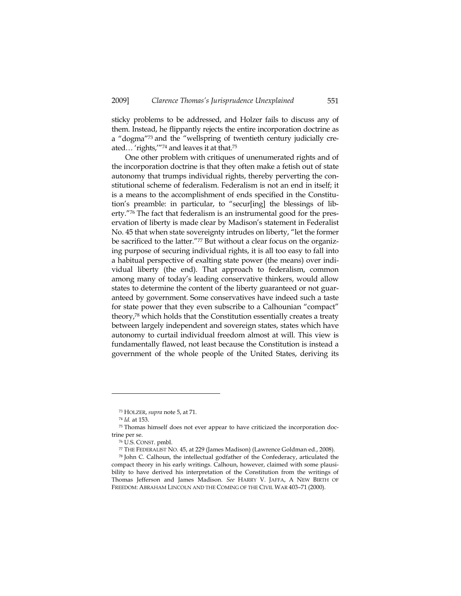sticky problems to be addressed, and Holzer fails to discuss any of them. Instead, he flippantly rejects the entire incorporation doctrine as a "dogma"73 and the "wellspring of twentieth century judicially created... 'rights,'"74 and leaves it at that.<sup>75</sup>

One other problem with critiques of unenumerated rights and of the incorporation doctrine is that they often make a fetish out of state autonomy that trumps individual rights, thereby perverting the constitutional scheme of federalism. Federalism is not an end in itself; it is a means to the accomplishment of ends specified in the Constitution's preamble: in particular, to "secur[ing] the blessings of liberty."76 The fact that federalism is an instrumental good for the preservation of liberty is made clear by Madison's statement in Federalist No. 45 that when state sovereignty intrudes on liberty, "let the former be sacrificed to the latter."77 But without a clear focus on the organizing purpose of securing individual rights, it is all too easy to fall into a habitual perspective of exalting state power (the means) over individual liberty (the end). That approach to federalism, common among many of today's leading conservative thinkers, would allow states to determine the content of the liberty guaranteed or not guaranteed by government. Some conservatives have indeed such a taste for state power that they even subscribe to a Calhounian "compact" theory,78 which holds that the Constitution essentially creates a treaty between largely independent and sovereign states, states which have autonomy to curtail individual freedom almost at will. This view is fundamentally flawed, not least because the Constitution is instead a government of the whole people of the United States, deriving its

<sup>&</sup>lt;sup>73</sup> HOLZER, *supra* note 5, at 71.<br><sup>74</sup> *Id.* at 153.<br><sup>75</sup> Thomas himself does not ever appear to have criticized the incorporation doctrine per se.

<sup>76</sup> U.S. CONST. pmbl. 77 THE FEDERALIST NO. 45, at 229 (James Madison) (Lawrence Goldman ed., 2008). 78 John C. Calhoun, the intellectual godfather of the Confederacy, articulated the

compact theory in his early writings. Calhoun, however, claimed with some plausibility to have derived his interpretation of the Constitution from the writings of Thomas Jefferson and James Madison. *See* HARRY V. JAFFA, A NEW BIRTH OF FREEDOM: ABRAHAM LINCOLN AND THE COMING OF THE CIVIL WAR 403–71 (2000).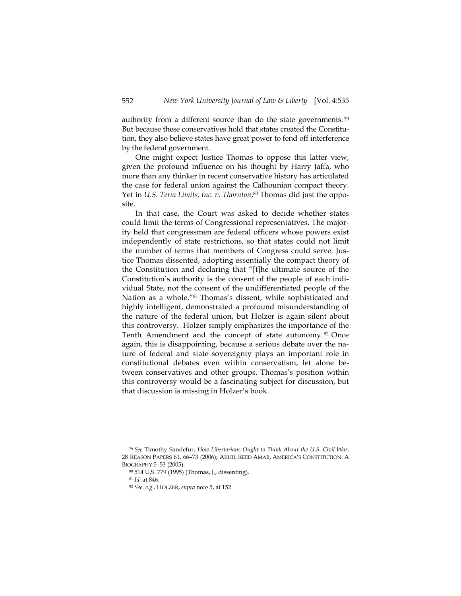authority from a different source than do the state governments. 79 But because these conservatives hold that states created the Constitution, they also believe states have great power to fend off interference by the federal government.

One might expect Justice Thomas to oppose this latter view, given the profound influence on his thought by Harry Jaffa, who more than any thinker in recent conservative history has articulated the case for federal union against the Calhounian compact theory. Yet in *U.S. Term Limits, Inc. v. Thornton*, 80 Thomas did just the opposite.

In that case, the Court was asked to decide whether states could limit the terms of Congressional representatives. The majority held that congressmen are federal officers whose powers exist independently of state restrictions, so that states could not limit the number of terms that members of Congress could serve. Justice Thomas dissented, adopting essentially the compact theory of the Constitution and declaring that "[t]he ultimate source of the Constitution's authority is the consent of the people of each individual State, not the consent of the undifferentiated people of the Nation as a whole."81 Thomas's dissent, while sophisticated and highly intelligent, demonstrated a profound misunderstanding of the nature of the federal union, but Holzer is again silent about this controversy. Holzer simply emphasizes the importance of the Tenth Amendment and the concept of state autonomy. 82 Once again, this is disappointing, because a serious debate over the nature of federal and state sovereignty plays an important role in constitutional debates even within conservatism, let alone between conservatives and other groups. Thomas's position within this controversy would be a fascinating subject for discussion, but that discussion is missing in Holzer's book.

<sup>79</sup> *See* Timothy Sandefur, *How Libertarians Ought to Think About the U.S. Civil War*, 28 REASON PAPERS 61, 66–73 (2006); AKHIL REED AMAR, AMERICA'S CONSTITUTION: A BIOGRAPHY 5–53 (2005).

<sup>80 514</sup> U.S. 779 (1995) (Thomas, J., dissenting).

<sup>81</sup> *Id.* at 846.

<sup>82</sup> *See. e.g.,* HOLZER, *supra* note 5, at 152.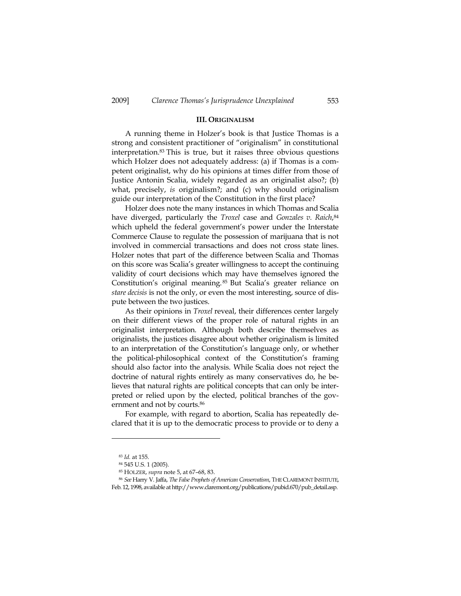## **III. ORIGINALISM**

A running theme in Holzer's book is that Justice Thomas is a strong and consistent practitioner of "originalism" in constitutional interpretation.83 This is true, but it raises three obvious questions which Holzer does not adequately address: (a) if Thomas is a competent originalist, why do his opinions at times differ from those of Justice Antonin Scalia, widely regarded as an originalist also?; (b) what, precisely, *is* originalism?; and (c) why should originalism guide our interpretation of the Constitution in the first place?

Holzer does note the many instances in which Thomas and Scalia have diverged, particularly the *Troxel* case and *Gonzales v. Raich*,<sup>84</sup> which upheld the federal government's power under the Interstate Commerce Clause to regulate the possession of marijuana that is not involved in commercial transactions and does not cross state lines. Holzer notes that part of the difference between Scalia and Thomas on this score was Scalia's greater willingness to accept the continuing validity of court decisions which may have themselves ignored the Constitution's original meaning. 85 But Scalia's greater reliance on *stare decisis* is not the only, or even the most interesting, source of dispute between the two justices.

As their opinions in *Troxel* reveal, their differences center largely on their different views of the proper role of natural rights in an originalist interpretation. Although both describe themselves as originalists, the justices disagree about whether originalism is limited to an interpretation of the Constitution's language only, or whether the political-philosophical context of the Constitution's framing should also factor into the analysis. While Scalia does not reject the doctrine of natural rights entirely as many conservatives do, he believes that natural rights are political concepts that can only be interpreted or relied upon by the elected, political branches of the government and not by courts.<sup>86</sup>

For example, with regard to abortion, Scalia has repeatedly declared that it is up to the democratic process to provide or to deny a

<sup>83</sup> *Id.* at 155. 84 545 U.S. 1 (2005).

<sup>85</sup> HOLZER, *supra* note 5, at 67–68, 83. 86 *See* Harry V. Jaffa, *The False Prophets of American Conservatism*, THE CLAREMONT INSTITUTE, Feb. 12, 1998, available at http://www.claremont.org/publications/pubid.670/pub\_detail.asp.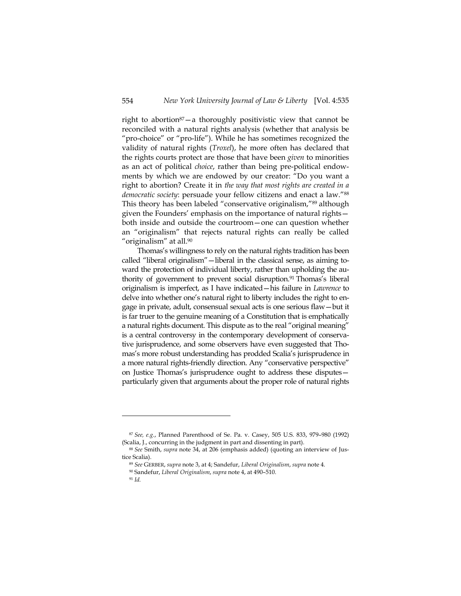right to abortion<sup>87</sup>-a thoroughly positivistic view that cannot be reconciled with a natural rights analysis (whether that analysis be "pro-choice" or "pro-life"). While he has sometimes recognized the validity of natural rights (*Troxel*), he more often has declared that the rights courts protect are those that have been *given* to minorities as an act of political *choice*, rather than being pre-political endowments by which we are endowed by our creator: "Do you want a right to abortion? Create it in *the way that most rights are created in a democratic society*: persuade your fellow citizens and enact a law."88 This theory has been labeled "conservative originalism,"89 although given the Founders' emphasis on the importance of natural rights both inside and outside the courtroom—one can question whether an "originalism" that rejects natural rights can really be called "originalism" at all.90

 Thomas's willingness to rely on the natural rights tradition has been called "liberal originalism"—liberal in the classical sense, as aiming toward the protection of individual liberty, rather than upholding the authority of government to prevent social disruption.<sup>91</sup> Thomas's liberal originalism is imperfect, as I have indicated—his failure in *Lawrence* to delve into whether one's natural right to liberty includes the right to engage in private, adult, consensual sexual acts is one serious flaw—but it is far truer to the genuine meaning of a Constitution that is emphatically a natural rights document. This dispute as to the real "original meaning" is a central controversy in the contemporary development of conservative jurisprudence, and some observers have even suggested that Thomas's more robust understanding has prodded Scalia's jurisprudence in a more natural rights-friendly direction. Any "conservative perspective" on Justice Thomas's jurisprudence ought to address these disputes particularly given that arguments about the proper role of natural rights

<sup>87</sup> *See, e.g.*, Planned Parenthood of Se. Pa. v. Casey, 505 U.S. 833, 979–980 (1992) (Scalia, J., concurring in the judgment in part and dissenting in part).

<sup>88</sup> *See* Smith, *supra* note 34, at 206 (emphasis added) (quoting an interview of Justice Scalia).

<sup>89</sup> *See* GERBER, *supra* note 3, at 4; Sandefur, *Liberal Originalism*, *supra* note 4.

<sup>90</sup> Sandefur, *Liberal Originalism*, *supra* note 4, at 490–510. 91 *Id.*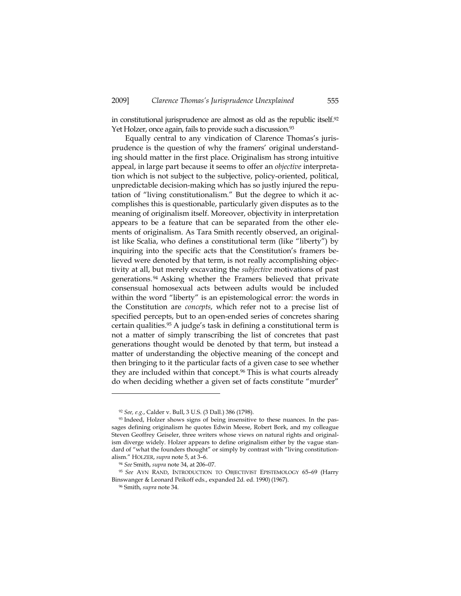in constitutional jurisprudence are almost as old as the republic itself.<sup>92</sup> Yet Holzer, once again, fails to provide such a discussion.<sup>93</sup>

Equally central to any vindication of Clarence Thomas's jurisprudence is the question of why the framers' original understanding should matter in the first place. Originalism has strong intuitive appeal, in large part because it seems to offer an *objective* interpretation which is not subject to the subjective, policy-oriented, political, unpredictable decision-making which has so justly injured the reputation of "living constitutionalism." But the degree to which it accomplishes this is questionable, particularly given disputes as to the meaning of originalism itself. Moreover, objectivity in interpretation appears to be a feature that can be separated from the other elements of originalism. As Tara Smith recently observed, an originalist like Scalia, who defines a constitutional term (like "liberty") by inquiring into the specific acts that the Constitution's framers believed were denoted by that term, is not really accomplishing objectivity at all, but merely excavating the *subjective* motivations of past generations.<sup>94</sup> Asking whether the Framers believed that private consensual homosexual acts between adults would be included within the word "liberty" is an epistemological error: the words in the Constitution are *concepts*, which refer not to a precise list of specified percepts, but to an open-ended series of concretes sharing certain qualities.95 A judge's task in defining a constitutional term is not a matter of simply transcribing the list of concretes that past generations thought would be denoted by that term, but instead a matter of understanding the objective meaning of the concept and then bringing to it the particular facts of a given case to see whether they are included within that concept.<sup>96</sup> This is what courts already do when deciding whether a given set of facts constitute "murder"

<sup>92</sup> *See, e.g.*, Calder v. Bull, 3 U.S. (3 Dall.) 386 (1798). 93 Indeed, Holzer shows signs of being insensitive to these nuances. In the passages defining originalism he quotes Edwin Meese, Robert Bork, and my colleague Steven Geoffrey Geiseler, three writers whose views on natural rights and originalism diverge widely. Holzer appears to define originalism either by the vague standard of "what the founders thought" or simply by contrast with "living constitutionalism." HOLZER, *supra* note 5, at 3–6. 94 *See* Smith, *supra* note 34, at 206–07.

<sup>95</sup> *See* AYN RAND, INTRODUCTION TO OBJECTIVIST EPISTEMOLOGY 65–69 (Harry Binswanger & Leonard Peikoff eds., expanded 2d. ed. 1990) (1967).

<sup>96</sup> Smith, *supra* note 34.